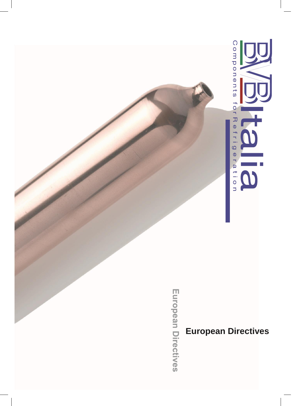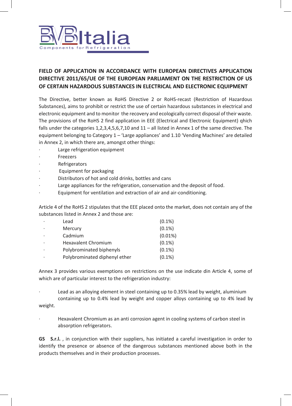

## **FIELD OF APPLICATION IN ACCORDANCE WITH EUROPEAN DIRECTIVES APPLICATION DIRECTIVE 2011/65/UE OF THE EUROPEAN PARLIAMENT ON THE RESTRICTION OF US OF CERTAIN HAZARDOUS SUBSTANCES IN ELECTRICAL AND ELECTRONIC EQUIPMENT**

The Directive, better known as RoHS Directive 2 or RoHS-recast (Restriction of Hazardous Substances), aims to prohibit or restrict the use of certain hazardous substances in electrical and electronic equipment and to monitor the recovery and ecologically correct disposal of their waste. The provisions of the RoHS 2 find application in EEE (Electrical and Electronic Equipment) qhich falls under the categories  $1,2,3,4,5,6,7,10$  and  $11 -$  all listed in Annex 1 of the same directive. The equipment belonging to Category 1 – 'Large appliances' and 1.10 'Vending Machines' are detailed in Annex 2, in which there are, amongst other things:

- Large refrigeration equipment
- **Freezers**
- **Refrigerators**
- Equipment for packaging
- Distributors of hot and cold drinks, bottles and cans
- Large appliances for the refrigeration, conservation and the deposit of food.
- Equipment for ventilation and extraction of air and air-conditioning.

Article 4 of the RoHS 2 stipulates that the EEE placed onto the market, does not contain any of the substances listed in Annex 2 and those are:

| $\cdot$ | Lead                          | $(0.1\%)$  |
|---------|-------------------------------|------------|
| $\cdot$ | Mercury                       | $(0.1\%)$  |
|         | Cadmium                       | $(0.01\%)$ |
| $\cdot$ | Hexavalent Chromium           | $(0.1\%)$  |
| ٠       | Polybrominated biphenyls      | $(0.1\%)$  |
| ٠       | Polybrominated diphenyl ether | $(0.1\%)$  |

Annex 3 provides various exemptions on restrictions on the use indicate din Article 4, some of which are of particular interest to the refrigeration industry:

Lead as an alloying element in steel containing up to 0.35% lead by weight, aluminium containing up to 0.4% lead by weight and copper alloys containing up to 4% lead by weight.

Hexavalent Chromium as an anti corrosion agent in cooling systems of carbon steel in absorption refrigerators.

**GS S.r.l.** , in conjunction with their suppliers, has initiated a careful investigation in order to identify the presence or absence of the dangerous substances mentioned above both in the products themselves and in their production processes.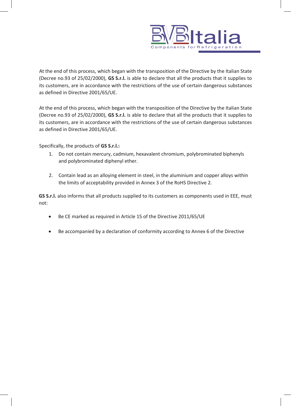

At the end of this process, which began with the transposition of the Directive by the Italian State (Decree no.93 of 25/02/2000), **GS S.r.l.** is able to declare that all the products that it supplies to its customers, are in accordance with the restrictions of the use of certain dangerous substances as defined in Directive 2001/65/UE.

At the end of this process, which began with the transposition of the Directive by the Italian State (Decree no.93 of 25/02/2000), **GS S.r.l.** is able to declare that all the products that it supplies to its customers, are in accordance with the restrictions of the use of certain dangerous substances as defined in Directive 2001/65/UE.

Specifically, the products of **GS S.r.l.:**

- 1. Do not contain mercury, cadmium, hexavalent chromium, polybrominated biphenyls and polybrominated diphenyl ether.
- 2. Contain lead as an alloying element in steel, in the aluminium and copper alloys within the limits of acceptability provided in Annex 3 of the RoHS Directive 2.

**GS S.r.l.** also informs that all products supplied to its customers as components used in EEE, must not:

- Be CE marked as required in Article 15 of the Directive 2011/65/UE
- Be accompanied by a declaration of conformity according to Annex 6 of the Directive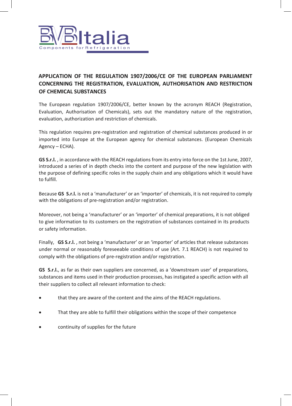

## **APPLICATION OF THE REGULATION 1907/2006/CE OF THE EUROPEAN PARLIAMENT CONCERNING THE REGISTRATION, EVALUATION, AUTHORISATION AND RESTRICTION OF CHEMICAL SUBSTANCES**

The European regulation 1907/2006/CE, better known by the acronym REACH (Registration, Evaluation, Authorisation of Chemicals), sets out the mandatory nature of the registration, evaluation, authorization and restriction of chemicals.

This regulation requires pre-registration and registration of chemical substances produced in or imported into Europe at the European agency for chemical substances. (European Chemicals Agency – ECHA).

**GS S.r.l.** , in accordance with the REACH regulations from its entry into force on the 1st June, 2007, introduced a series of in depth checks into the content and purpose of the new legislation with the purpose of defining specific roles in the supply chain and any obligations which it would have to fulfill.

Because **GS S.r.l.** is not a 'manufacturer' or an 'importer' of chemicals, it is not required to comply with the obligations of pre-registration and/or registration.

Moreover, not being a 'manufacturer' or an 'importer' of chemical preparations, it is not obliged to give information to its customers on the registration of substances contained in its products or safety information.

Finally, **GS S.r.l.** , not being a 'manufacturer' or an 'importer' of articles that release substances under normal or reasonably foreseeable conditions of use (Art. 7.1 REACH) is not required to comply with the obligations of pre-registration and/or registration.

**GS S.r.l.**, as far as their own suppliers are concerned, as a 'downstream user' of preparations, substances and items used in their production processes, has instigated a specific action with all their suppliers to collect all relevant information to check:

- that they are aware of the content and the aims of the REACH regulations.
- That they are able to fulfill their obligations within the scope of their competence
- continuity of supplies for the future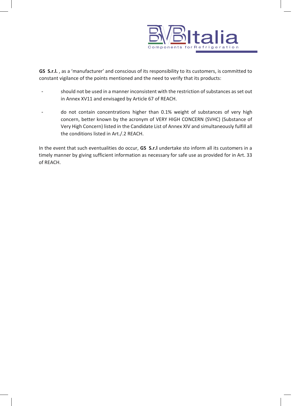

**GS S.r.l.** , as a 'manufacturer' and conscious of its responsibility to its customers, is committed to constant vigilance of the points mentioned and the need to verify that its products:

- should not be used in a manner inconsistent with the restriction of substances as set out in Annex XV11 and envisaged by Article 67 of REACH.
- do not contain concentrations higher than 0.1% weight of substances of very high concern, better known by the acronym of VERY HIGH CONCERN (SVHC) (Substance of Very High Concern) listed in the Candidate List of Annex XIV and simultaneously fulfill all the conditions listed in Art./.2 REACH.

In the event that such eventualities do occur, **GS S.r.l** undertake sto inform all its customers in a timely manner by giving sufficient information as necessary for safe use as provided for in Art. 33 of REACH.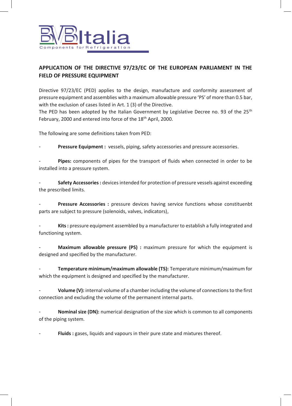

## **APPLICATION OF THE DIRECTIVE 97/23/EC OF THE EUROPEAN PARLIAMENT IN THE FIELD OF PRESSURE EQUIPMENT**

Directive 97/23/EC (PED) applies to the design, manufacture and conformity assessment of pressure equipment and assemblies with a maximum allowable pressure 'PS' of more than 0.5 bar, with the exclusion of cases listed in Art. 1 (3) of the Directive.

The PED has been adopted by the Italian Government by Legislative Decree no. 93 of the  $25<sup>th</sup>$ February, 2000 and entered into force of the 18<sup>th</sup> April, 2000.

The following are some definitions taken from PED:

Pressure Equipment : vessels, piping, safety accessories and pressure accessories.

Pipes: components of pipes for the transport of fluids when connected in order to be installed into a pressure system.

- **Safety Accessories :** devices intended for protection of pressure vessels against exceeding the prescribed limits.

Pressure Accessories : pressure devices having service functions whose constituenbt parts are subject to pressure (solenoids, valves, indicators),

Kits : pressure equipment assembled by a manufacturer to establish a fully integrated and functioning system.

**Maximum allowable pressure (PS)** : maximum pressure for which the equipment is designed and specified by the manufacturer.

- **Temperature minimum/maximum allowable (TS):** Temperature minimum/maximum for which the equipment is designed and specified by the manufacturer.

Volume (V): internal volume of a chamber including the volume of connections to the first connection and excluding the volume of the permanent internal parts.

**Nominal size (DN):** numerical designation of the size which is common to all components of the piping system.

Fluids : gases, liquids and vapours in their pure state and mixtures thereof.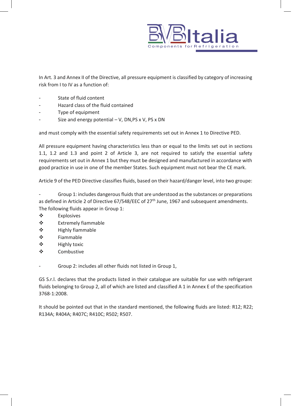

In Art. 3 and Annex II of the Directive, all pressure equipment is classified by category of increasing risk from I to IV as a function of:

- State of fluid content
- Hazard class of the fluid contained
- Type of equipment
- Size and energy potential  $V$ , DN,PS x V, PS x DN

and must comply with the essential safety requirements set out in Annex 1 to Directive PED.

All pressure equipment having characteristics less than or equal to the limits set out in sections 1.1, 1.2 and 1.3 and point 2 of Article 3, are not required to satisfy the essential safety requirements set out in Annex 1 but they must be designed and manufactured in accordance with good practice in use in one of the member States. Such equipment must not bear the CE mark.

Article 9 of the PED Directive classifies fluids, based on their hazard/danger level, into two groupe:

Group 1: includes dangerous fluids that are understood as the substances or preparations as defined in Article 2 of Directive 67/548/EEC of 27<sup>th</sup> June, 1967 and subsequent amendments. The following fluids appear in Group 1:

- ❖ Explosives
- ❖ Extremely fiammable
- ❖ Highly fiammable
- ❖ Fiammable
- ❖ Highly toxic
- ❖ Combustive

Group 2: includes all other fluids not listed in Group 1,

GS S.r.l. declares that the products listed in their catalogue are suitable for use with refrigerant fluids belonging to Group 2, all of which are listed and classified A 1 in Annex E of the specification 3768-1:2008.

It should be pointed out that in the standard mentioned, the following fluids are listed: R12; R22; R134A; R404A; R407C; R410C; R502; R507.